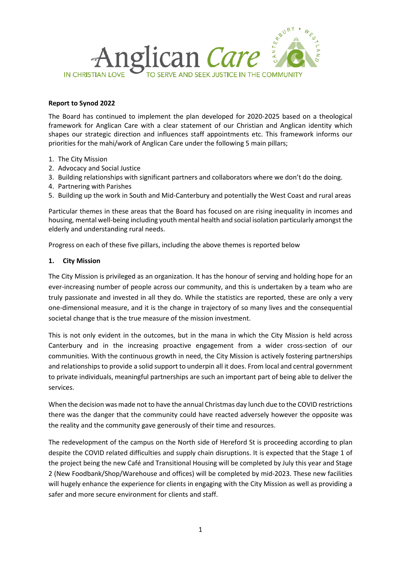

#### **Report to Synod 2022**

The Board has continued to implement the plan developed for 2020-2025 based on a theological framework for Anglican Care with a clear statement of our Christian and Anglican identity which shapes our strategic direction and influences staff appointments etc. This framework informs our priorities for the mahi/work of Anglican Care under the following 5 main pillars;

- 1. The City Mission
- 2. Advocacy and Social Justice
- 3. Building relationships with significant partners and collaborators where we don't do the doing.
- 4. Partnering with Parishes
- 5. Building up the work in South and Mid-Canterbury and potentially the West Coast and rural areas

Particular themes in these areas that the Board has focused on are rising inequality in incomes and housing, mental well-being including youth mental health and social isolation particularly amongst the elderly and understanding rural needs.

Progress on each of these five pillars, including the above themes is reported below

### **1. City Mission**

The City Mission is privileged as an organization. It has the honour of serving and holding hope for an ever-increasing number of people across our community, and this is undertaken by a team who are truly passionate and invested in all they do. While the statistics are reported, these are only a very one-dimensional measure, and it is the change in trajectory of so many lives and the consequential societal change that is the true measure of the mission investment.

This is not only evident in the outcomes, but in the mana in which the City Mission is held across Canterbury and in the increasing proactive engagement from a wider cross-section of our communities. With the continuous growth in need, the City Mission is actively fostering partnerships and relationships to provide a solid support to underpin all it does. From local and central government to private individuals, meaningful partnerships are such an important part of being able to deliver the services.

When the decision was made not to have the annual Christmas day lunch due to the COVID restrictions there was the danger that the community could have reacted adversely however the opposite was the reality and the community gave generously of their time and resources.

The redevelopment of the campus on the North side of Hereford St is proceeding according to plan despite the COVID related difficulties and supply chain disruptions. It is expected that the Stage 1 of the project being the new Café and Transitional Housing will be completed by July this year and Stage 2 (New Foodbank/Shop/Warehouse and offices) will be completed by mid-2023. These new facilities will hugely enhance the experience for clients in engaging with the City Mission as well as providing a safer and more secure environment for clients and staff.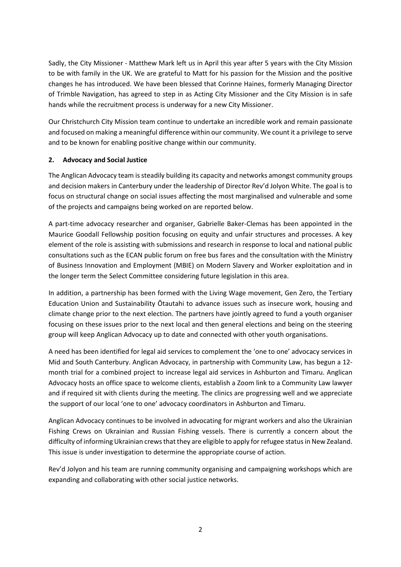Sadly, the City Missioner - Matthew Mark left us in April this year after 5 years with the City Mission to be with family in the UK. We are grateful to Matt for his passion for the Mission and the positive changes he has introduced. We have been blessed that Corinne Haines, formerly Managing Director of Trimble Navigation, has agreed to step in as Acting City Missioner and the City Mission is in safe hands while the recruitment process is underway for a new City Missioner.

Our Christchurch City Mission team continue to undertake an incredible work and remain passionate and focused on making a meaningful difference within our community. We count it a privilege to serve and to be known for enabling positive change within our community.

# **2. Advocacy and Social Justice**

The Anglican Advocacy team is steadily building its capacity and networks amongst community groups and decision makers in Canterbury under the leadership of Director Rev'd Jolyon White. The goal is to focus on structural change on social issues affecting the most marginalised and vulnerable and some of the projects and campaigns being worked on are reported below.

A part-time advocacy researcher and organiser, Gabrielle Baker-Clemas has been appointed in the Maurice Goodall Fellowship position focusing on equity and unfair structures and processes. A key element of the role is assisting with submissions and research in response to local and national public consultations such as the ECAN public forum on free bus fares and the consultation with the Ministry of Business Innovation and Employment (MBIE) on Modern Slavery and Worker exploitation and in the longer term the Select Committee considering future legislation in this area.

In addition, a partnership has been formed with the Living Wage movement, Gen Zero, the Tertiary Education Union and Sustainability Ōtautahi to advance issues such as insecure work, housing and climate change prior to the next election. The partners have jointly agreed to fund a youth organiser focusing on these issues prior to the next local and then general elections and being on the steering group will keep Anglican Advocacy up to date and connected with other youth organisations.

A need has been identified for legal aid services to complement the 'one to one' advocacy services in Mid and South Canterbury. Anglican Advocacy, in partnership with Community Law, has begun a 12 month trial for a combined project to increase legal aid services in Ashburton and Timaru. Anglican Advocacy hosts an office space to welcome clients, establish a Zoom link to a Community Law lawyer and if required sit with clients during the meeting. The clinics are progressing well and we appreciate the support of our local 'one to one' advocacy coordinators in Ashburton and Timaru.

Anglican Advocacy continues to be involved in advocating for migrant workers and also the Ukrainian Fishing Crews on Ukrainian and Russian Fishing vessels. There is currently a concern about the difficulty of informing Ukrainian crews that they are eligible to apply for refugee status in New Zealand. This issue is under investigation to determine the appropriate course of action.

Rev'd Jolyon and his team are running community organising and campaigning workshops which are expanding and collaborating with other social justice networks.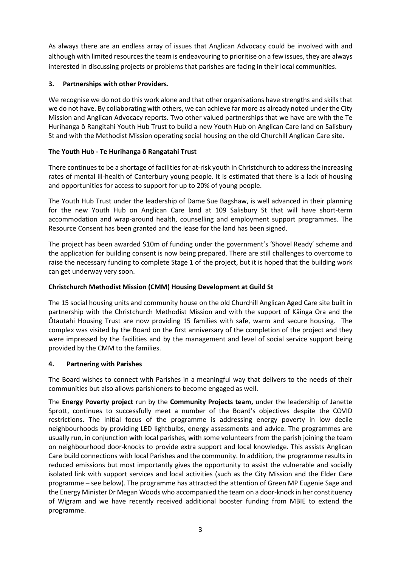As always there are an endless array of issues that Anglican Advocacy could be involved with and although with limited resources the team is endeavouring to prioritise on a few issues, they are always interested in discussing projects or problems that parishes are facing in their local communities.

# **3. Partnerships with other Providers.**

We recognise we do not do this work alone and that other organisations have strengths and skills that we do not have. By collaborating with others, we can achieve far more as already noted under the City Mission and Anglican Advocacy reports. Two other valued partnerships that we have are with the Te Hurihanga ō Rangitahi Youth Hub Trust to build a new Youth Hub on Anglican Care land on Salisbury St and with the Methodist Mission operating social housing on the old Churchill Anglican Care site.

# **The Youth Hub - Te Hurihanga ō Rangatahi Trust**

There continues to be a shortage of facilities for at-risk youth in Christchurch to address the increasing rates of mental ill-health of Canterbury young people. It is estimated that there is a lack of housing and opportunities for access to support for up to 20% of young people.

The Youth Hub Trust under the leadership of Dame Sue Bagshaw, is well advanced in their planning for the new Youth Hub on Anglican Care land at 109 Salisbury St that will have short-term accommodation and wrap-around health, counselling and employment support programmes. The Resource Consent has been granted and the lease for the land has been signed.

The project has been awarded \$10m of funding under the government's 'Shovel Ready' scheme and the application for building consent is now being prepared. There are still challenges to overcome to raise the necessary funding to complete Stage 1 of the project, but it is hoped that the building work can get underway very soon.

## **Christchurch Methodist Mission (CMM) Housing Development at Guild St**

The 15 social housing units and community house on the old Churchill Anglican Aged Care site built in partnership with the Christchurch Methodist Mission and with the support of Kāinga Ora and the Ōtautahi Housing Trust are now providing 15 families with safe, warm and secure housing. The complex was visited by the Board on the first anniversary of the completion of the project and they were impressed by the facilities and by the management and level of social service support being provided by the CMM to the families.

## **4. Partnering with Parishes**

The Board wishes to connect with Parishes in a meaningful way that delivers to the needs of their communities but also allows parishioners to become engaged as well.

The **Energy Poverty project** run by the **Community Projects team,** under the leadership of Janette Sprott, continues to successfully meet a number of the Board's objectives despite the COVID restrictions. The initial focus of the programme is addressing energy poverty in low decile neighbourhoods by providing LED lightbulbs, energy assessments and advice. The programmes are usually run, in conjunction with local parishes, with some volunteers from the parish joining the team on neighbourhood door-knocks to provide extra support and local knowledge. This assists Anglican Care build connections with local Parishes and the community. In addition, the programme results in reduced emissions but most importantly gives the opportunity to assist the vulnerable and socially isolated link with support services and local activities (such as the City Mission and the Elder Care programme – see below). The programme has attracted the attention of Green MP Eugenie Sage and the Energy Minister Dr Megan Woods who accompanied the team on a door-knock in her constituency of Wigram and we have recently received additional booster funding from MBIE to extend the programme.